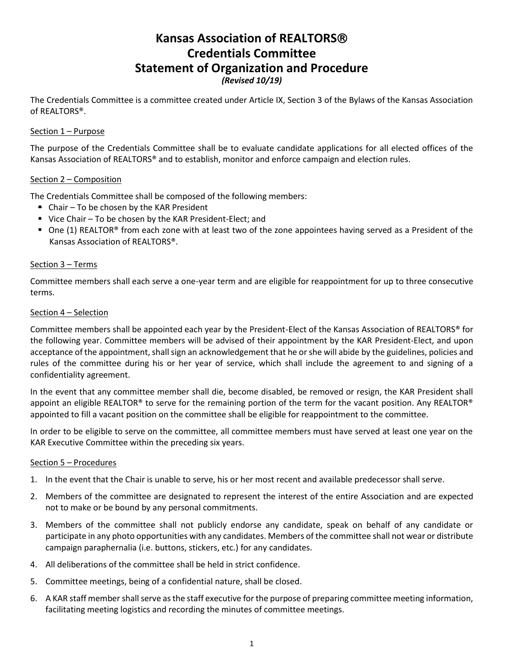# **Kansas Association of REALTORS Credentials Committee Statement of Organization and Procedure** *(Revised 10/19)*

The Credentials Committee is a committee created under Article IX, Section 3 of the Bylaws of the Kansas Association of REALTORS®.

## Section 1 – Purpose

The purpose of the Credentials Committee shall be to evaluate candidate applications for all elected offices of the Kansas Association of REALTORS® and to establish, monitor and enforce campaign and election rules.

# Section 2 – Composition

The Credentials Committee shall be composed of the following members:

- Chair To be chosen by the KAR President
- Vice Chair To be chosen by the KAR President-Elect; and
- One (1) REALTOR<sup>®</sup> from each zone with at least two of the zone appointees having served as a President of the Kansas Association of REALTORS®.

#### Section 3 – Terms

Committee members shall each serve a one-year term and are eligible for reappointment for up to three consecutive terms.

#### Section 4 – Selection

Committee members shall be appointed each year by the President-Elect of the Kansas Association of REALTORS® for the following year. Committee members will be advised of their appointment by the KAR President-Elect, and upon acceptance of the appointment, shall sign an acknowledgement that he or she will abide by the guidelines, policies and rules of the committee during his or her year of service, which shall include the agreement to and signing of a confidentiality agreement.

In the event that any committee member shall die, become disabled, be removed or resign, the KAR President shall appoint an eligible REALTOR® to serve for the remaining portion of the term for the vacant position. Any REALTOR® appointed to fill a vacant position on the committee shall be eligible for reappointment to the committee.

In order to be eligible to serve on the committee, all committee members must have served at least one year on the KAR Executive Committee within the preceding six years.

#### Section 5 – Procedures

- 1. In the event that the Chair is unable to serve, his or her most recent and available predecessor shall serve.
- 2. Members of the committee are designated to represent the interest of the entire Association and are expected not to make or be bound by any personal commitments.
- 3. Members of the committee shall not publicly endorse any candidate, speak on behalf of any candidate or participate in any photo opportunities with any candidates. Members of the committee shall not wear or distribute campaign paraphernalia (i.e. buttons, stickers, etc.) for any candidates.
- 4. All deliberations of the committee shall be held in strict confidence.
- 5. Committee meetings, being of a confidential nature, shall be closed.
- 6. A KAR staff member shall serve as the staff executive for the purpose of preparing committee meeting information, facilitating meeting logistics and recording the minutes of committee meetings.